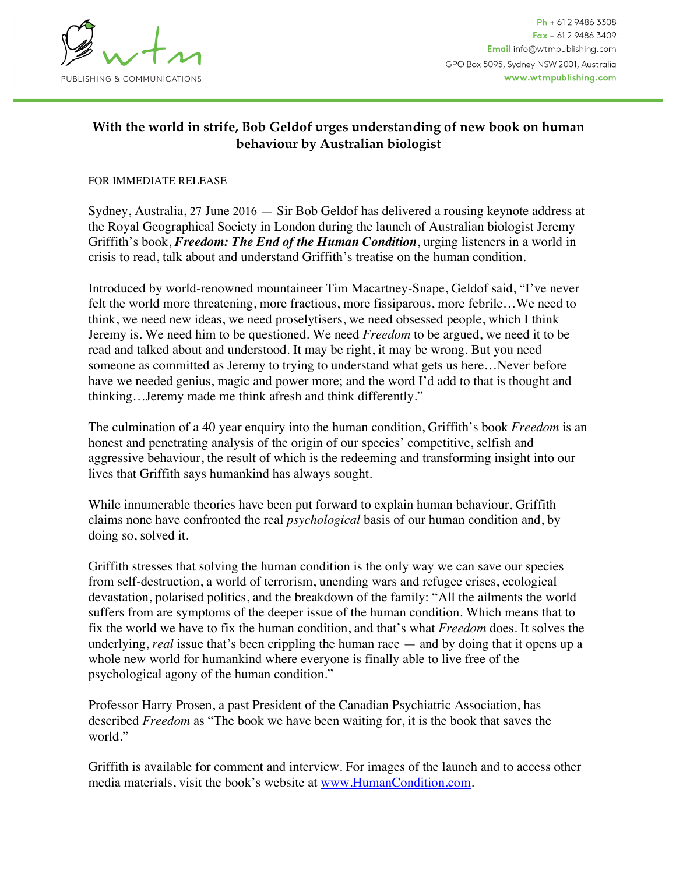

## **With the world in strife, Bob Geldof urges understanding of new book on human behaviour by Australian biologist**

## FOR IMMEDIATE RELEASE

Sydney, Australia, 27 June 2016 — Sir Bob Geldof has delivered a rousing keynote address at the Royal Geographical Society in London during the launch of Australian biologist Jeremy Griffith's book, *Freedom: The End of the Human Condition*, urging listeners in a world in crisis to read, talk about and understand Griffith's treatise on the human condition.

Introduced by world-renowned mountaineer Tim Macartney-Snape, Geldof said, "I've never felt the world more threatening, more fractious, more fissiparous, more febrile…We need to think, we need new ideas, we need proselytisers, we need obsessed people, which I think Jeremy is. We need him to be questioned. We need *Freedom* to be argued, we need it to be read and talked about and understood. It may be right, it may be wrong. But you need someone as committed as Jeremy to trying to understand what gets us here…Never before have we needed genius, magic and power more; and the word I'd add to that is thought and thinking…Jeremy made me think afresh and think differently."

The culmination of a 40 year enquiry into the human condition, Griffith's book *Freedom* is an honest and penetrating analysis of the origin of our species' competitive, selfish and aggressive behaviour, the result of which is the redeeming and transforming insight into our lives that Griffith says humankind has always sought.

While innumerable theories have been put forward to explain human behaviour, Griffith claims none have confronted the real *psychological* basis of our human condition and, by doing so, solved it.

Griffith stresses that solving the human condition is the only way we can save our species from self-destruction, a world of terrorism, unending wars and refugee crises, ecological devastation, polarised politics, and the breakdown of the family: "All the ailments the world suffers from are symptoms of the deeper issue of the human condition. Which means that to fix the world we have to fix the human condition, and that's what *Freedom* does. It solves the underlying, *real* issue that's been crippling the human race — and by doing that it opens up a whole new world for humankind where everyone is finally able to live free of the psychological agony of the human condition."

Professor Harry Prosen, a past President of the Canadian Psychiatric Association, has described *Freedom* as "The book we have been waiting for, it is the book that saves the world."

Griffith is available for comment and interview. For images of the launch and to access other media materials, visit the book's website at [www.HumanCondition.com](http://www.HumanCondition.com/).